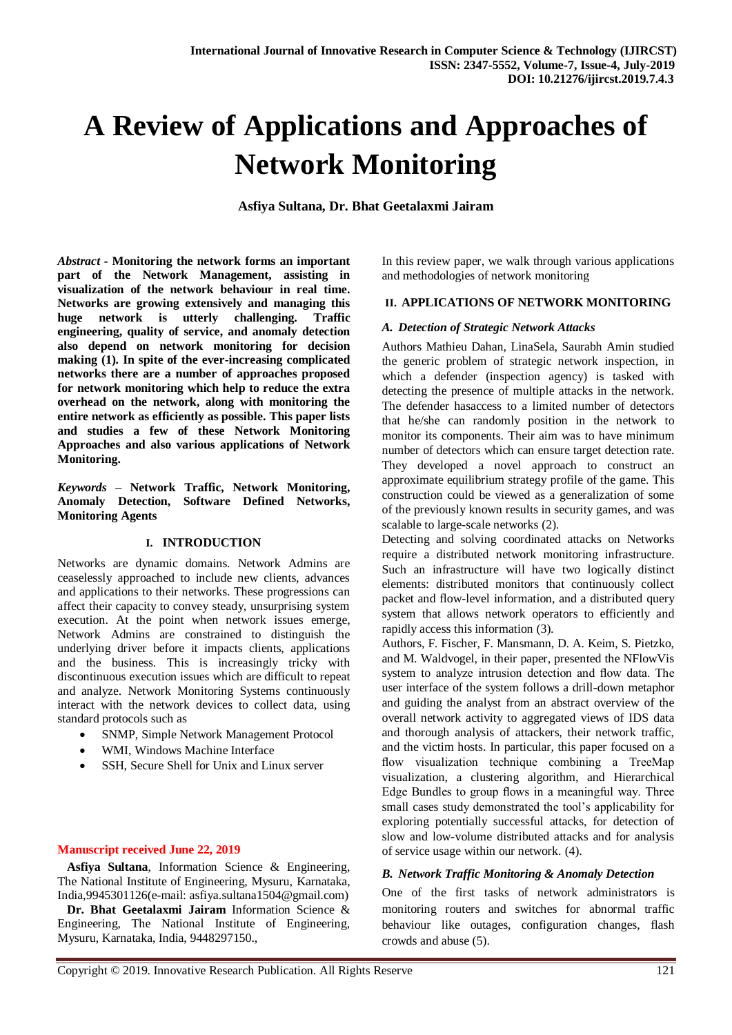# **A Review of Applications and Approaches of Network Monitoring**

**Asfiya Sultana, Dr. Bhat Geetalaxmi Jairam**

*Abstract -* **Monitoring the network forms an important part of the Network Management, assisting in visualization of the network behaviour in real time. Networks are growing extensively and managing this huge network is utterly challenging. Traffic engineering, quality of service, and anomaly detection also depend on network monitoring for decision making (1). In spite of the ever-increasing complicated networks there are a number of approaches proposed for network monitoring which help to reduce the extra overhead on the network, along with monitoring the entire network as efficiently as possible. This paper lists and studies a few of these Network Monitoring Approaches and also various applications of Network Monitoring.**

*Keywords –* **Network Traffic, Network Monitoring, Anomaly Detection, Software Defined Networks, Monitoring Agents**

#### **I. INTRODUCTION**

Networks are dynamic domains. Network Admins are ceaselessly approached to include new clients, advances and applications to their networks. These progressions can affect their capacity to convey steady, unsurprising system execution. At the point when network issues emerge, Network Admins are constrained to distinguish the underlying driver before it impacts clients, applications and the business. This is increasingly tricky with discontinuous execution issues which are difficult to repeat and analyze. Network Monitoring Systems continuously interact with the network devices to collect data, using standard protocols such as

- SNMP, Simple Network Management Protocol
- WMI, Windows Machine Interface
- SSH, Secure Shell for Unix and Linux server

## **Manuscript received June 22, 2019**

 **Asfiya Sultana**, Information Science & Engineering, The National Institute of Engineering, Mysuru, Karnataka, India,9945301126(e-mail: asfiya.sultana1504@gmail.com)

 **Dr. Bhat Geetalaxmi Jairam** Information Science & Engineering, The National Institute of Engineering, Mysuru, Karnataka, India, 9448297150.,

In this review paper, we walk through various applications and methodologies of network monitoring

#### **II. APPLICATIONS OF NETWORK MONITORING**

#### *A. Detection of Strategic Network Attacks*

Authors Mathieu Dahan, LinaSela, Saurabh Amin studied the generic problem of strategic network inspection, in which a defender (inspection agency) is tasked with detecting the presence of multiple attacks in the network. The defender hasaccess to a limited number of detectors that he/she can randomly position in the network to monitor its components. Their aim was to have minimum number of detectors which can ensure target detection rate. They developed a novel approach to construct an approximate equilibrium strategy profile of the game. This construction could be viewed as a generalization of some of the previously known results in security games, and was scalable to large-scale networks (2).

Detecting and solving coordinated attacks on Networks require a distributed network monitoring infrastructure. Such an infrastructure will have two logically distinct elements: distributed monitors that continuously collect packet and flow-level information, and a distributed query system that allows network operators to efficiently and rapidly access this information (3).

Authors, F. Fischer, F. Mansmann, D. A. Keim, S. Pietzko, and M. Waldvogel, in their paper, presented the NFlowVis system to analyze intrusion detection and flow data. The user interface of the system follows a drill-down metaphor and guiding the analyst from an abstract overview of the overall network activity to aggregated views of IDS data and thorough analysis of attackers, their network traffic, and the victim hosts. In particular, this paper focused on a flow visualization technique combining a TreeMap visualization, a clustering algorithm, and Hierarchical Edge Bundles to group flows in a meaningful way. Three small cases study demonstrated the tool's applicability for exploring potentially successful attacks, for detection of slow and low-volume distributed attacks and for analysis of service usage within our network. (4).

## *B. Network Traffic Monitoring & Anomaly Detection*

One of the first tasks of network administrators is monitoring routers and switches for abnormal traffic behaviour like outages, configuration changes, flash crowds and abuse (5).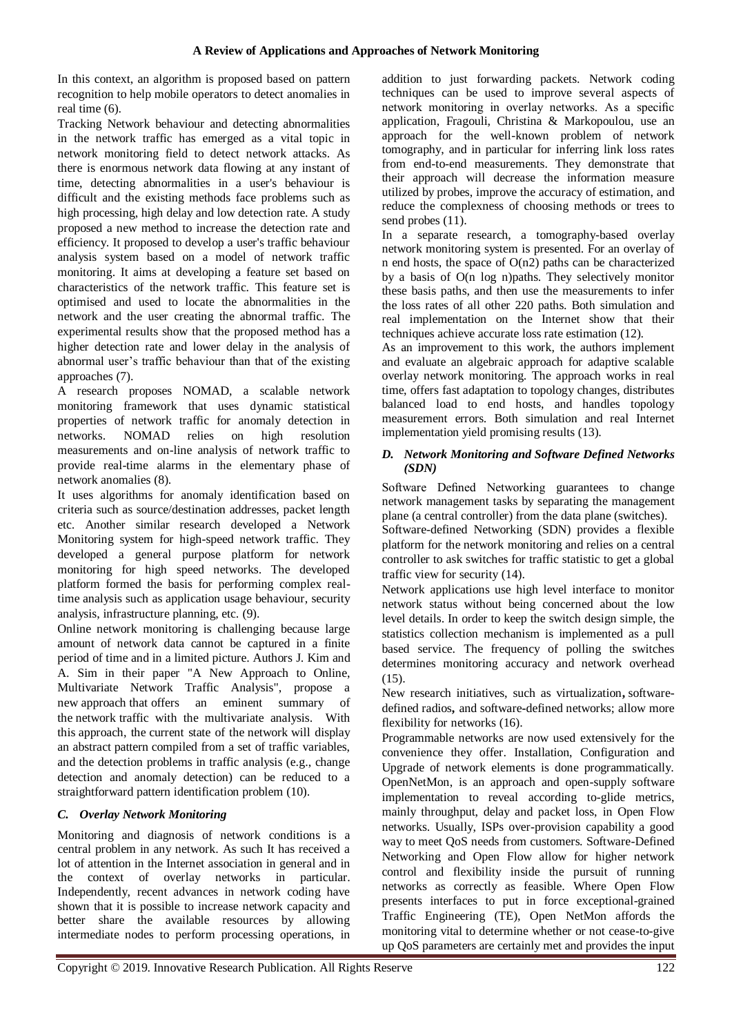In this context, an algorithm is proposed based on pattern recognition to help mobile operators to detect anomalies in real time (6).

Tracking Network behaviour and detecting abnormalities in the network traffic has emerged as a vital topic in network monitoring field to detect network attacks. As there is enormous network data flowing at any instant of time, detecting abnormalities in a user's behaviour is difficult and the existing methods face problems such as high processing, high delay and low detection rate. A study proposed a new method to increase the detection rate and efficiency. It proposed to develop a user's traffic behaviour analysis system based on a model of network traffic monitoring. It aims at developing a feature set based on characteristics of the network traffic. This feature set is optimised and used to locate the abnormalities in the network and the user creating the abnormal traffic. The experimental results show that the proposed method has a higher detection rate and lower delay in the analysis of abnormal user's traffic behaviour than that of the existing approaches (7).

A research proposes NOMAD, a scalable network monitoring framework that uses dynamic statistical properties of network traffic for anomaly detection in networks. NOMAD relies on high resolution measurements and on-line analysis of network traffic to provide real-time alarms in the elementary phase of network anomalies (8).

It uses algorithms for anomaly identification based on criteria such as source/destination addresses, packet length etc. Another similar research developed a Network Monitoring system for high-speed network traffic. They developed a general purpose platform for network monitoring for high speed networks. The developed platform formed the basis for performing complex realtime analysis such as application usage behaviour, security analysis, infrastructure planning, etc. (9).

Online network monitoring is challenging because large amount of network data cannot be captured in a finite period of time and in a limited picture. Authors J. Kim and A. Sim in their paper "A New Approach to Online, Multivariate Network Traffic Analysis", propose a new approach that offers an eminent summary of the network traffic with the multivariate analysis. With this approach, the current state of the network will display an abstract pattern compiled from a set of traffic variables, and the detection problems in traffic analysis (e.g., change detection and anomaly detection) can be reduced to a straightforward pattern identification problem (10).

# *C. Overlay Network Monitoring*

Monitoring and diagnosis of network conditions is a central problem in any network. As such It has received a lot of attention in the Internet association in general and in the context of overlay networks in particular. Independently, recent advances in network coding have shown that it is possible to increase network capacity and better share the available resources by allowing intermediate nodes to perform processing operations, in

addition to just forwarding packets. Network coding techniques can be used to improve several aspects of network monitoring in overlay networks. As a specific application, Fragouli, Christina & Markopoulou, use an approach for the well-known problem of network tomography, and in particular for inferring link loss rates from end-to-end measurements. They demonstrate that their approach will decrease the information measure utilized by probes, improve the accuracy of estimation, and reduce the complexness of choosing methods or trees to send probes  $(11)$ .

In a separate research, a tomography-based overlay network monitoring system is presented. For an overlay of n end hosts, the space of  $O(n2)$  paths can be characterized by a basis of O(n log n)paths. They selectively monitor these basis paths, and then use the measurements to infer the loss rates of all other 220 paths. Both simulation and real implementation on the Internet show that their techniques achieve accurate loss rate estimation (12).

As an improvement to this work, the authors implement and evaluate an algebraic approach for adaptive scalable overlay network monitoring. The approach works in real time, offers fast adaptation to topology changes, distributes balanced load to end hosts, and handles topology measurement errors. Both simulation and real Internet implementation yield promising results (13).

## *D. Network Monitoring and Software Defined Networks (SDN)*

Software Defined Networking guarantees to change network management tasks by separating the management plane (a central controller) from the data plane (switches).

Software-defined Networking (SDN) provides a flexible platform for the network monitoring and relies on a central controller to ask switches for traffic statistic to get a global traffic view for security (14).

Network applications use high level interface to monitor network status without being concerned about the low level details. In order to keep the switch design simple, the statistics collection mechanism is implemented as a pull based service. The frequency of polling the switches determines monitoring accuracy and network overhead (15).

New research initiatives, such as virtualization**,** softwaredefined radios**,** and software**-**defined networks; allow more flexibility for networks (16).

Programmable networks are now used extensively for the convenience they offer. Installation, Configuration and Upgrade of network elements is done programmatically. OpenNetMon, is an approach and open-supply software implementation to reveal according to-glide metrics, mainly throughput, delay and packet loss, in Open Flow networks. Usually, ISPs over-provision capability a good way to meet QoS needs from customers. Software-Defined Networking and Open Flow allow for higher network control and flexibility inside the pursuit of running networks as correctly as feasible. Where Open Flow presents interfaces to put in force exceptional-grained Traffic Engineering (TE), Open NetMon affords the monitoring vital to determine whether or not cease-to-give up QoS parameters are certainly met and provides the input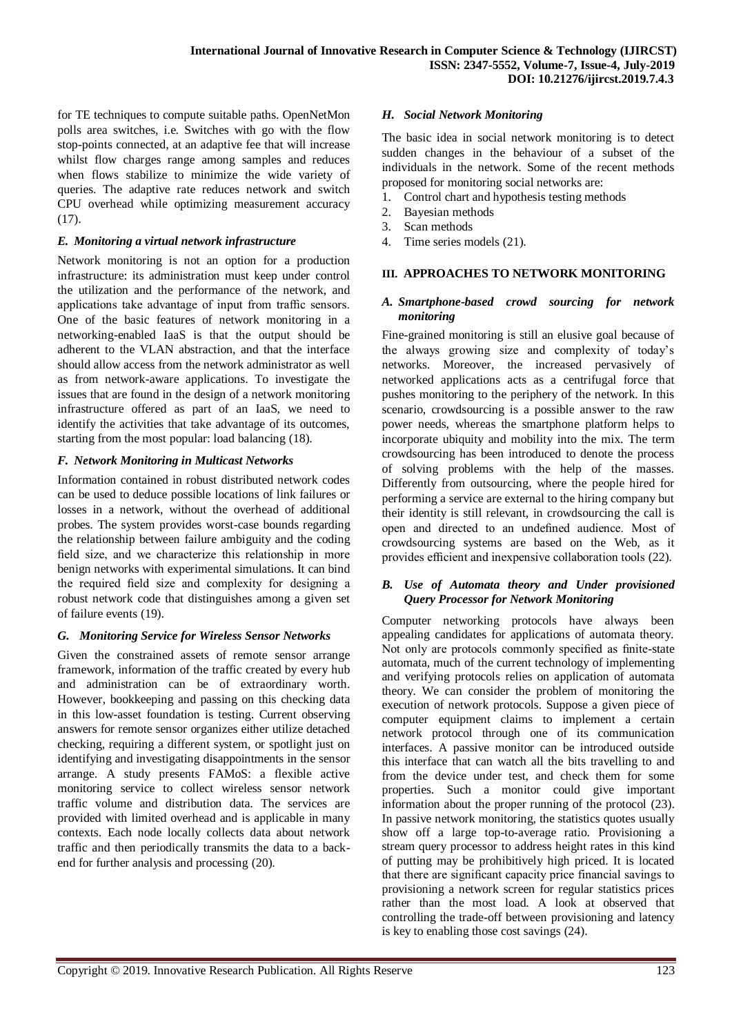for TE techniques to compute suitable paths. OpenNetMon polls area switches, i.e. Switches with go with the flow stop-points connected, at an adaptive fee that will increase whilst flow charges range among samples and reduces when flows stabilize to minimize the wide variety of queries. The adaptive rate reduces network and switch CPU overhead while optimizing measurement accuracy (17).

## *E. Monitoring a virtual network infrastructure*

Network monitoring is not an option for a production infrastructure: its administration must keep under control the utilization and the performance of the network, and applications take advantage of input from traffic sensors. One of the basic features of network monitoring in a networking-enabled IaaS is that the output should be adherent to the VLAN abstraction, and that the interface should allow access from the network administrator as well as from network-aware applications. To investigate the issues that are found in the design of a network monitoring infrastructure offered as part of an IaaS, we need to identify the activities that take advantage of its outcomes, starting from the most popular: load balancing (18).

## *F. Network Monitoring in Multicast Networks*

Information contained in robust distributed network codes can be used to deduce possible locations of link failures or losses in a network, without the overhead of additional probes. The system provides worst-case bounds regarding the relationship between failure ambiguity and the coding field size, and we characterize this relationship in more benign networks with experimental simulations. It can bind the required field size and complexity for designing a robust network code that distinguishes among a given set of failure events (19).

## *G. Monitoring Service for Wireless Sensor Networks*

Given the constrained assets of remote sensor arrange framework, information of the traffic created by every hub and administration can be of extraordinary worth. However, bookkeeping and passing on this checking data in this low-asset foundation is testing. Current observing answers for remote sensor organizes either utilize detached checking, requiring a different system, or spotlight just on identifying and investigating disappointments in the sensor arrange. A study presents FAMoS: a flexible active monitoring service to collect wireless sensor network traffic volume and distribution data. The services are provided with limited overhead and is applicable in many contexts. Each node locally collects data about network traffic and then periodically transmits the data to a backend for further analysis and processing (20).

## *H. Social Network Monitoring*

The basic idea in social network monitoring is to detect sudden changes in the behaviour of a subset of the individuals in the network. Some of the recent methods proposed for monitoring social networks are:

- 1. Control chart and hypothesis testing methods
- 2. Bayesian methods
- 3. Scan methods
- 4. Time series models (21).

## **III. APPROACHES TO NETWORK MONITORING**

## *A. Smartphone-based crowd sourcing for network monitoring*

Fine-grained monitoring is still an elusive goal because of the always growing size and complexity of today's networks. Moreover, the increased pervasively of networked applications acts as a centrifugal force that pushes monitoring to the periphery of the network. In this scenario, crowdsourcing is a possible answer to the raw power needs, whereas the smartphone platform helps to incorporate ubiquity and mobility into the mix. The term crowdsourcing has been introduced to denote the process of solving problems with the help of the masses. Differently from outsourcing, where the people hired for performing a service are external to the hiring company but their identity is still relevant, in crowdsourcing the call is open and directed to an undefined audience. Most of crowdsourcing systems are based on the Web, as it provides efficient and inexpensive collaboration tools (22).

#### *B. Use of Automata theory and Under provisioned Query Processor for Network Monitoring*

Computer networking protocols have always been appealing candidates for applications of automata theory. Not only are protocols commonly specified as finite-state automata, much of the current technology of implementing and verifying protocols relies on application of automata theory. We can consider the problem of monitoring the execution of network protocols. Suppose a given piece of computer equipment claims to implement a certain network protocol through one of its communication interfaces. A passive monitor can be introduced outside this interface that can watch all the bits travelling to and from the device under test, and check them for some properties. Such a monitor could give important information about the proper running of the protocol (23). In passive network monitoring, the statistics quotes usually show off a large top-to-average ratio. Provisioning a stream query processor to address height rates in this kind of putting may be prohibitively high priced. It is located that there are significant capacity price financial savings to provisioning a network screen for regular statistics prices rather than the most load. A look at observed that controlling the trade-off between provisioning and latency is key to enabling those cost savings (24).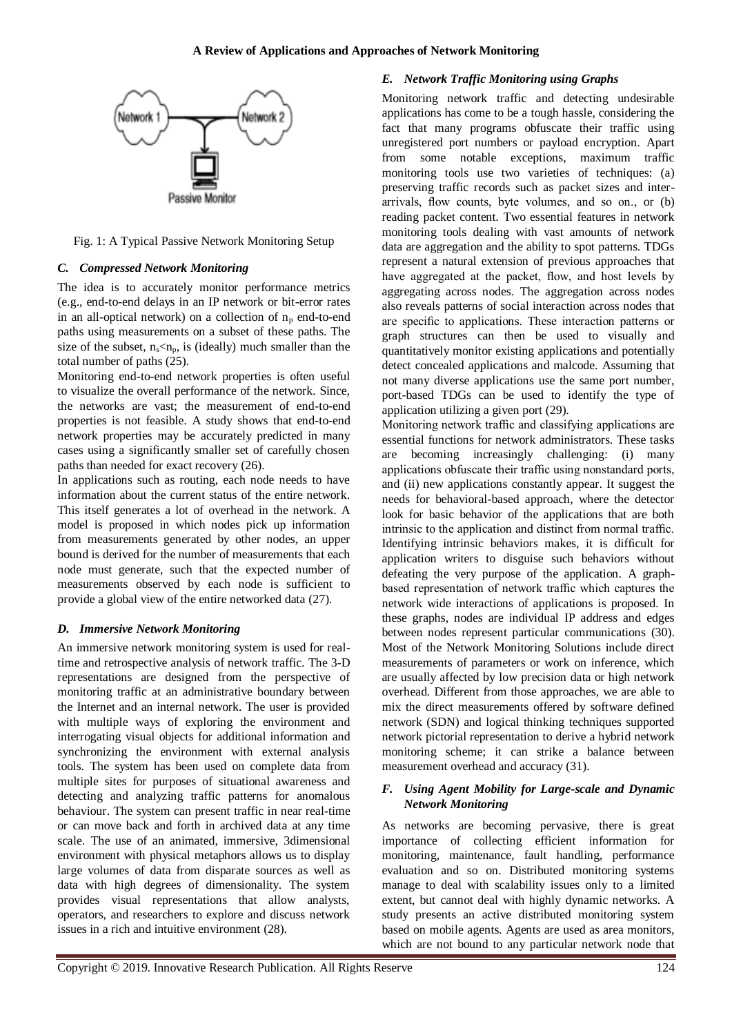

Fig. 1: A Typical Passive Network Monitoring Setup

# *C. Compressed Network Monitoring*

The idea is to accurately monitor performance metrics (e.g., end-to-end delays in an IP network or bit-error rates in an all-optical network) on a collection of  $n_p$  end-to-end paths using measurements on a subset of these paths. The size of the subset,  $n_s \leq n_p$ , is (ideally) much smaller than the total number of paths (25).

Monitoring end-to-end network properties is often useful to visualize the overall performance of the network. Since, the networks are vast; the measurement of end-to-end properties is not feasible. A study shows that end-to-end network properties may be accurately predicted in many cases using a significantly smaller set of carefully chosen paths than needed for exact recovery (26).

In applications such as routing, each node needs to have information about the current status of the entire network. This itself generates a lot of overhead in the network. A model is proposed in which nodes pick up information from measurements generated by other nodes, an upper bound is derived for the number of measurements that each node must generate, such that the expected number of measurements observed by each node is sufficient to provide a global view of the entire networked data (27).

# *D. Immersive Network Monitoring*

An immersive network monitoring system is used for realtime and retrospective analysis of network traffic. The 3-D representations are designed from the perspective of monitoring traffic at an administrative boundary between the Internet and an internal network. The user is provided with multiple ways of exploring the environment and interrogating visual objects for additional information and synchronizing the environment with external analysis tools. The system has been used on complete data from multiple sites for purposes of situational awareness and detecting and analyzing traffic patterns for anomalous behaviour. The system can present traffic in near real-time or can move back and forth in archived data at any time scale. The use of an animated, immersive, 3dimensional environment with physical metaphors allows us to display large volumes of data from disparate sources as well as data with high degrees of dimensionality. The system provides visual representations that allow analysts, operators, and researchers to explore and discuss network issues in a rich and intuitive environment (28).

# *E. Network Traffic Monitoring using Graphs*

Monitoring network traffic and detecting undesirable applications has come to be a tough hassle, considering the fact that many programs obfuscate their traffic using unregistered port numbers or payload encryption. Apart from some notable exceptions, maximum traffic monitoring tools use two varieties of techniques: (a) preserving traffic records such as packet sizes and interarrivals, flow counts, byte volumes, and so on., or (b) reading packet content. Two essential features in network monitoring tools dealing with vast amounts of network data are aggregation and the ability to spot patterns. TDGs represent a natural extension of previous approaches that have aggregated at the packet, flow, and host levels by aggregating across nodes. The aggregation across nodes also reveals patterns of social interaction across nodes that are specific to applications. These interaction patterns or graph structures can then be used to visually and quantitatively monitor existing applications and potentially detect concealed applications and malcode. Assuming that not many diverse applications use the same port number, port-based TDGs can be used to identify the type of application utilizing a given port (29).

Monitoring network traffic and classifying applications are essential functions for network administrators. These tasks are becoming increasingly challenging: (i) many applications obfuscate their traffic using nonstandard ports, and (ii) new applications constantly appear. It suggest the needs for behavioral-based approach, where the detector look for basic behavior of the applications that are both intrinsic to the application and distinct from normal traffic. Identifying intrinsic behaviors makes, it is difficult for application writers to disguise such behaviors without defeating the very purpose of the application. A graphbased representation of network traffic which captures the network wide interactions of applications is proposed. In these graphs, nodes are individual IP address and edges between nodes represent particular communications (30). Most of the Network Monitoring Solutions include direct measurements of parameters or work on inference, which are usually affected by low precision data or high network overhead. Different from those approaches, we are able to mix the direct measurements offered by software defined network (SDN) and logical thinking techniques supported network pictorial representation to derive a hybrid network monitoring scheme; it can strike a balance between measurement overhead and accuracy (31).

# *F. Using Agent Mobility for Large-scale and Dynamic Network Monitoring*

As networks are becoming pervasive, there is great importance of collecting efficient information for monitoring, maintenance, fault handling, performance evaluation and so on. Distributed monitoring systems manage to deal with scalability issues only to a limited extent, but cannot deal with highly dynamic networks. A study presents an active distributed monitoring system based on mobile agents. Agents are used as area monitors, which are not bound to any particular network node that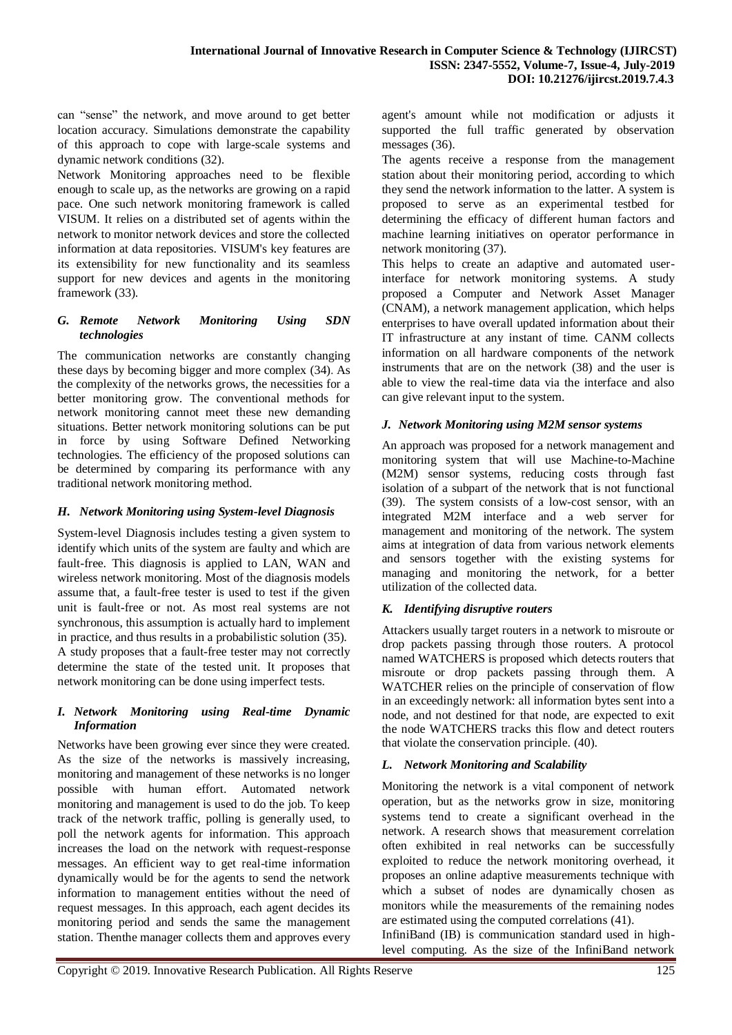can "sense" the network, and move around to get better location accuracy. Simulations demonstrate the capability of this approach to cope with large-scale systems and dynamic network conditions (32).

Network Monitoring approaches need to be flexible enough to scale up, as the networks are growing on a rapid pace. One such network monitoring framework is called VISUM. It relies on a distributed set of agents within the network to monitor network devices and store the collected information at data repositories. VISUM's key features are its extensibility for new functionality and its seamless support for new devices and agents in the monitoring framework (33).

## *G. Remote Network Monitoring Using SDN technologies*

The communication networks are constantly changing these days by becoming bigger and more complex (34). As the complexity of the networks grows, the necessities for a better monitoring grow. The conventional methods for network monitoring cannot meet these new demanding situations. Better network monitoring solutions can be put in force by using Software Defined Networking technologies. The efficiency of the proposed solutions can be determined by comparing its performance with any traditional network monitoring method.

## *H. Network Monitoring using System-level Diagnosis*

System-level Diagnosis includes testing a given system to identify which units of the system are faulty and which are fault-free. This diagnosis is applied to LAN, WAN and wireless network monitoring. Most of the diagnosis models assume that, a fault-free tester is used to test if the given unit is fault-free or not. As most real systems are not synchronous, this assumption is actually hard to implement in practice, and thus results in a probabilistic solution (35). A study proposes that a fault-free tester may not correctly determine the state of the tested unit. It proposes that network monitoring can be done using imperfect tests.

## *I. Network Monitoring using Real-time Dynamic Information*

Networks have been growing ever since they were created. As the size of the networks is massively increasing, monitoring and management of these networks is no longer possible with human effort. Automated network monitoring and management is used to do the job. To keep track of the network traffic, polling is generally used, to poll the network agents for information. This approach increases the load on the network with request-response messages. An efficient way to get real-time information dynamically would be for the agents to send the network information to management entities without the need of request messages. In this approach, each agent decides its monitoring period and sends the same the management station. Thenthe manager collects them and approves every agent's amount while not modification or adjusts it supported the full traffic generated by observation messages (36).

The agents receive a response from the management station about their monitoring period, according to which they send the network information to the latter. A system is proposed to serve as an experimental testbed for determining the efficacy of different human factors and machine learning initiatives on operator performance in network monitoring (37).

This helps to create an adaptive and automated userinterface for network monitoring systems. A study proposed a Computer and Network Asset Manager (CNAM), a network management application, which helps enterprises to have overall updated information about their IT infrastructure at any instant of time. CANM collects information on all hardware components of the network instruments that are on the network (38) and the user is able to view the real-time data via the interface and also can give relevant input to the system.

# *J. Network Monitoring using M2M sensor systems*

An approach was proposed for a network management and monitoring system that will use Machine-to-Machine (M2M) sensor systems, reducing costs through fast isolation of a subpart of the network that is not functional (39). The system consists of a low-cost sensor, with an integrated M2M interface and a web server for management and monitoring of the network. The system aims at integration of data from various network elements and sensors together with the existing systems for managing and monitoring the network, for a better utilization of the collected data.

# *K. Identifying disruptive routers*

Attackers usually target routers in a network to misroute or drop packets passing through those routers. A protocol named WATCHERS is proposed which detects routers that misroute or drop packets passing through them. A WATCHER relies on the principle of conservation of flow in an exceedingly network: all information bytes sent into a node, and not destined for that node, are expected to exit the node WATCHERS tracks this flow and detect routers that violate the conservation principle. (40).

## *L. Network Monitoring and Scalability*

Monitoring the network is a vital component of network operation, but as the networks grow in size, monitoring systems tend to create a significant overhead in the network. A research shows that measurement correlation often exhibited in real networks can be successfully exploited to reduce the network monitoring overhead, it proposes an online adaptive measurements technique with which a subset of nodes are dynamically chosen as monitors while the measurements of the remaining nodes are estimated using the computed correlations (41).

InfiniBand (IB) is communication standard used in highlevel computing. As the size of the InfiniBand network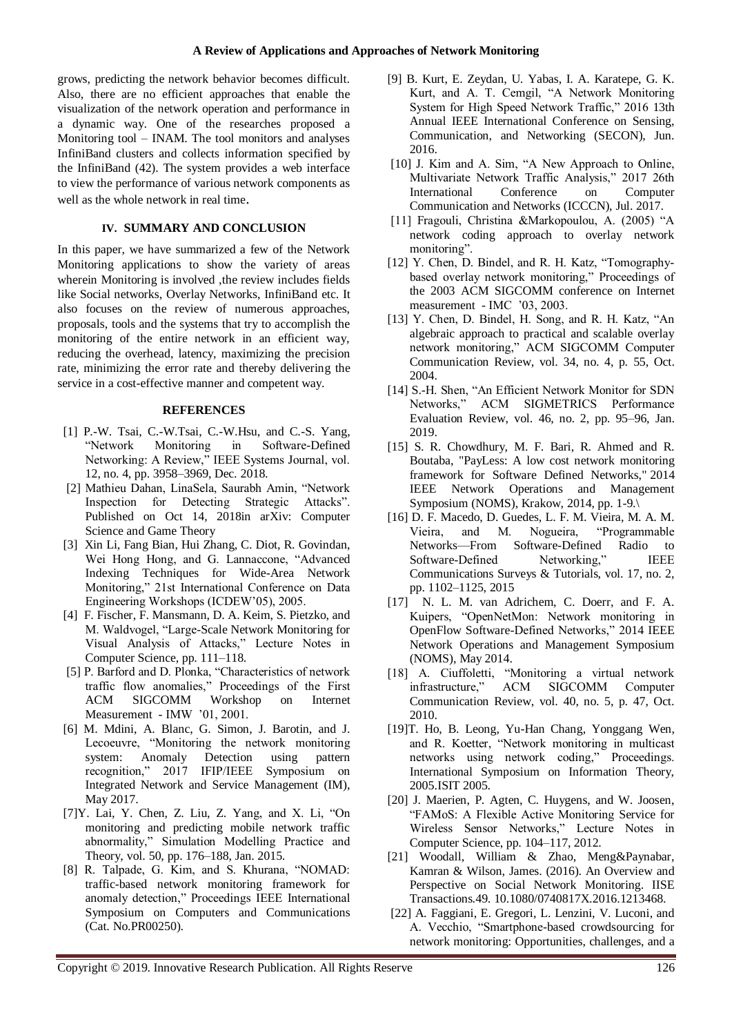grows, predicting the network behavior becomes difficult. Also, there are no efficient approaches that enable the visualization of the network operation and performance in a dynamic way. One of the researches proposed a Monitoring tool – INAM. The tool monitors and analyses InfiniBand clusters and collects information specified by the InfiniBand (42). The system provides a web interface to view the performance of various network components as well as the whole network in real time.

## **IV. SUMMARY AND CONCLUSION**

In this paper, we have summarized a few of the Network Monitoring applications to show the variety of areas wherein Monitoring is involved ,the review includes fields like Social networks, Overlay Networks, InfiniBand etc. It also focuses on the review of numerous approaches, proposals, tools and the systems that try to accomplish the monitoring of the entire network in an efficient way, reducing the overhead, latency, maximizing the precision rate, minimizing the error rate and thereby delivering the service in a cost-effective manner and competent way.

## **REFERENCES**

- [1] P.-W. Tsai, C.-W.Tsai, C.-W.Hsu, and C.-S. Yang, "Network Monitoring in Software-Defined Networking: A Review," IEEE Systems Journal, vol. 12, no. 4, pp. 3958–3969, Dec. 2018.
- [2] Mathieu Dahan, LinaSela, Saurabh Amin, "Network Inspection for Detecting Strategic Attacks". Published on Oct 14, 2018in arXiv: Computer Science and Game Theory
- [3] Xin Li, Fang Bian, Hui Zhang, C. Diot, R. Govindan, Wei Hong Hong, and G. Lannaccone, "Advanced Indexing Techniques for Wide-Area Network Monitoring," 21st International Conference on Data Engineering Workshops (ICDEW'05), 2005.
- [4] F. Fischer, F. Mansmann, D. A. Keim, S. Pietzko, and M. Waldvogel, "Large-Scale Network Monitoring for Visual Analysis of Attacks," Lecture Notes in Computer Science, pp. 111–118.
- [5] P. Barford and D. Plonka, "Characteristics of network traffic flow anomalies," Proceedings of the First ACM SIGCOMM Workshop on Internet Measurement - IMW '01, 2001.
- [6] M. Mdini, A. Blanc, G. Simon, J. Barotin, and J. Lecoeuvre, "Monitoring the network monitoring system: Anomaly Detection using pattern recognition," 2017 IFIP/IEEE Symposium on Integrated Network and Service Management (IM), May 2017.
- [7]Y. Lai, Y. Chen, Z. Liu, Z. Yang, and X. Li, "On monitoring and predicting mobile network traffic abnormality," Simulation Modelling Practice and Theory, vol. 50, pp. 176–188, Jan. 2015.
- [8] R. Talpade, G. Kim, and S. Khurana, "NOMAD: traffic-based network monitoring framework for anomaly detection," Proceedings IEEE International Symposium on Computers and Communications (Cat. No.PR00250).
- [9] B. Kurt, E. Zeydan, U. Yabas, I. A. Karatepe, G. K. Kurt, and A. T. Cemgil, "A Network Monitoring System for High Speed Network Traffic," 2016 13th Annual IEEE International Conference on Sensing, Communication, and Networking (SECON), Jun. 2016.
- [10] J. Kim and A. Sim, "A New Approach to Online, Multivariate Network Traffic Analysis," 2017 26th International Conference on Computer Communication and Networks (ICCCN), Jul. 2017.
- [11] Fragouli, Christina &Markopoulou, A. (2005) "A network coding approach to overlay network monitoring".
- [12] Y. Chen, D. Bindel, and R. H. Katz, "Tomographybased overlay network monitoring," Proceedings of the 2003 ACM SIGCOMM conference on Internet measurement - IMC '03, 2003.
- [13] Y. Chen, D. Bindel, H. Song, and R. H. Katz, "An algebraic approach to practical and scalable overlay network monitoring," ACM SIGCOMM Computer Communication Review, vol. 34, no. 4, p. 55, Oct. 2004.
- [14] S.-H. Shen, "An Efficient Network Monitor for SDN Networks," ACM SIGMETRICS Performance Evaluation Review, vol. 46, no. 2, pp. 95–96, Jan. 2019.
- [15] S. R. Chowdhury, M. F. Bari, R. Ahmed and R. Boutaba, "PayLess: A low cost network monitoring framework for Software Defined Networks," 2014 IEEE Network Operations and Management Symposium (NOMS), Krakow, 2014, pp. 1-9.\
- [16] D. F. Macedo, D. Guedes, L. F. M. Vieira, M. A. M. Vieira, and M. Nogueira, "Programmable Networks—From Software-Defined Radio to<br>Software-Defined Networking." IFFE Software-Defined Networking," Communications Surveys & Tutorials, vol. 17, no. 2, pp. 1102–1125, 2015
- [17] N. L. M. van Adrichem, C. Doerr, and F. A. Kuipers, "OpenNetMon: Network monitoring in OpenFlow Software-Defined Networks," 2014 IEEE Network Operations and Management Symposium (NOMS), May 2014.
- [18] A. Ciuffoletti, "Monitoring a virtual network infrastructure," ACM SIGCOMM Computer Communication Review, vol. 40, no. 5, p. 47, Oct. 2010.
- [19]T. Ho, B. Leong, Yu-Han Chang, Yonggang Wen, and R. Koetter, "Network monitoring in multicast networks using network coding," Proceedings. International Symposium on Information Theory, 2005.ISIT 2005.
- [20] J. Maerien, P. Agten, C. Huygens, and W. Joosen, "FAMoS: A Flexible Active Monitoring Service for Wireless Sensor Networks," Lecture Notes in Computer Science, pp. 104–117, 2012.
- [21] Woodall, William & Zhao, Meng&Paynabar, Kamran & Wilson, James. (2016). An Overview and Perspective on Social Network Monitoring. IISE Transactions.49. 10.1080/0740817X.2016.1213468.
- [22] A. Faggiani, E. Gregori, L. Lenzini, V. Luconi, and A. Vecchio, "Smartphone-based crowdsourcing for network monitoring: Opportunities, challenges, and a